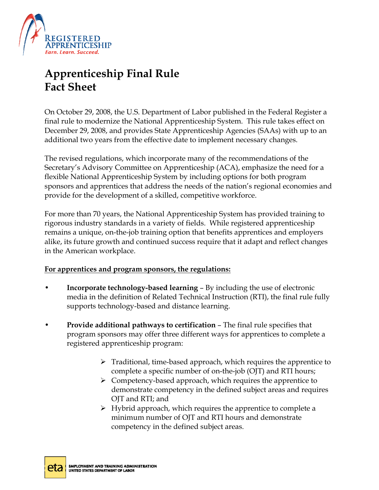

# **Apprenticeship Final Rule Fact Sheet**

On October 29, 2008, the U.S. Department of Labor published in the Federal Register a final rule to modernize the National Apprenticeship System. This rule takes effect on December 29, 2008, and provides State Apprenticeship Agencies (SAAs) with up to an additional two years from the effective date to implement necessary changes.

The revised regulations, which incorporate many of the recommendations of the Secretary's Advisory Committee on Apprenticeship (ACA), emphasize the need for a flexible National Apprenticeship System by including options for both program sponsors and apprentices that address the needs of the nation's regional economies and provide for the development of a skilled, competitive workforce.

For more than 70 years, the National Apprenticeship System has provided training to rigorous industry standards in a variety of fields. While registered apprenticeship remains a unique, on-the-job training option that benefits apprentices and employers alike, its future growth and continued success require that it adapt and reflect changes in the American workplace.

### **For apprentices and program sponsors, the regulations:**

- **Incorporate technology-based learning**  By including the use of electronic media in the definition of Related Technical Instruction (RTI), the final rule fully supports technology-based and distance learning.
- **Provide additional pathways to certification** The final rule specifies that program sponsors may offer three different ways for apprentices to complete a registered apprenticeship program:
	- $\triangleright$  Traditional, time-based approach, which requires the apprentice to complete a specific number of on-the-job (OJT) and RTI hours;
	- $\triangleright$  Competency-based approach, which requires the apprentice to demonstrate competency in the defined subject areas and requires OJT and RTI; and
	- $\triangleright$  Hybrid approach, which requires the apprentice to complete a minimum number of OJT and RTI hours and demonstrate competency in the defined subject areas.

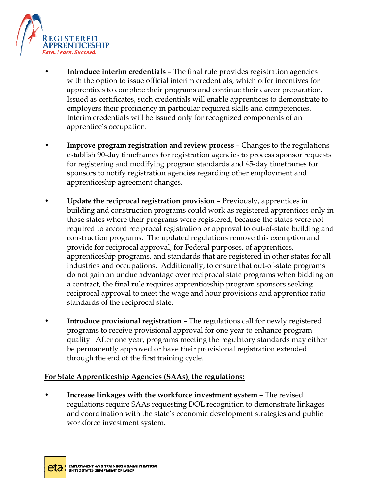

- **Introduce interim credentials** The final rule provides registration agencies with the option to issue official interim credentials, which offer incentives for apprentices to complete their programs and continue their career preparation. Issued as certificates, such credentials will enable apprentices to demonstrate to employers their proficiency in particular required skills and competencies. Interim credentials will be issued only for recognized components of an apprentice's occupation.
- **Improve program registration and review process** Changes to the regulations establish 90-day timeframes for registration agencies to process sponsor requests for registering and modifying program standards and 45-day timeframes for sponsors to notify registration agencies regarding other employment and apprenticeship agreement changes.
- **Update the reciprocal registration provision** Previously, apprentices in building and construction programs could work as registered apprentices only in those states where their programs were registered, because the states were not required to accord reciprocal registration or approval to out-of-state building and construction programs. The updated regulations remove this exemption and provide for reciprocal approval, for Federal purposes, of apprentices, apprenticeship programs, and standards that are registered in other states for all industries and occupations. Additionally, to ensure that out-of-state programs do not gain an undue advantage over reciprocal state programs when bidding on a contract, the final rule requires apprenticeship program sponsors seeking reciprocal approval to meet the wage and hour provisions and apprentice ratio standards of the reciprocal state.
- **Introduce provisional registration** The regulations call for newly registered programs to receive provisional approval for one year to enhance program quality. After one year, programs meeting the regulatory standards may either be permanently approved or have their provisional registration extended through the end of the first training cycle.

#### **For State Apprenticeship Agencies (SAAs), the regulations:**

• **Increase linkages with the workforce investment system** – The revised regulations require SAAs requesting DOL recognition to demonstrate linkages and coordination with the state's economic development strategies and public workforce investment system.

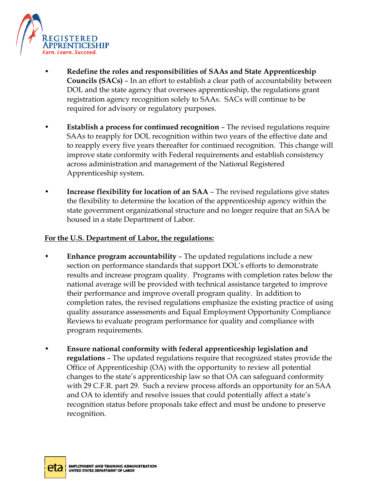

- **Redefine the roles and responsibilities of SAAs and State Apprenticeship Councils (SACs)** – In an effort to establish a clear path of accountability between DOL and the state agency that oversees apprenticeship, the regulations grant registration agency recognition solely to SAAs. SACs will continue to be required for advisory or regulatory purposes.
- **Establish a process for continued recognition** The revised regulations require SAAs to reapply for DOL recognition within two years of the effective date and to reapply every five years thereafter for continued recognition. This change will improve state conformity with Federal requirements and establish consistency across administration and management of the National Registered Apprenticeship system.
- **Increase flexibility for location of an SAA** The revised regulations give states the flexibility to determine the location of the apprenticeship agency within the state government organizational structure and no longer require that an SAA be housed in a state Department of Labor.

#### **For the U.S. Department of Labor, the regulations:**

- **Enhance program accountability** The updated regulations include a new section on performance standards that support DOL's efforts to demonstrate results and increase program quality. Programs with completion rates below the national average will be provided with technical assistance targeted to improve their performance and improve overall program quality. In addition to completion rates, the revised regulations emphasize the existing practice of using quality assurance assessments and Equal Employment Opportunity Compliance Reviews to evaluate program performance for quality and compliance with program requirements.
- **Ensure national conformity with federal apprenticeship legislation and regulations** – The updated regulations require that recognized states provide the Office of Apprenticeship (OA) with the opportunity to review all potential changes to the state's apprenticeship law so that OA can safeguard conformity with 29 C.F.R. part 29. Such a review process affords an opportunity for an SAA and OA to identify and resolve issues that could potentially affect a state's recognition status before proposals take effect and must be undone to preserve recognition.